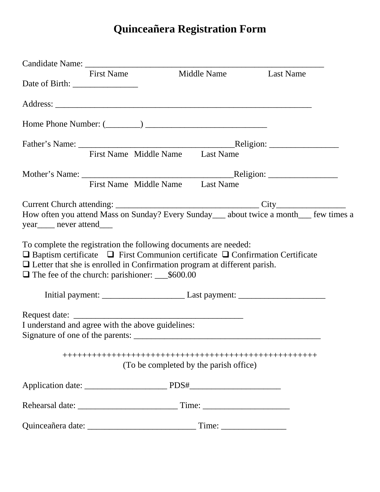## **Quinceañera Registration Form**

|                                                        | First Name Middle Name Last Name                                                                                                                                                                                                                     |                                                                                         |
|--------------------------------------------------------|------------------------------------------------------------------------------------------------------------------------------------------------------------------------------------------------------------------------------------------------------|-----------------------------------------------------------------------------------------|
|                                                        |                                                                                                                                                                                                                                                      |                                                                                         |
|                                                        |                                                                                                                                                                                                                                                      |                                                                                         |
|                                                        | Home Phone Number: $(\_\_)$                                                                                                                                                                                                                          |                                                                                         |
|                                                        |                                                                                                                                                                                                                                                      |                                                                                         |
|                                                        | First Name Middle Name Last Name                                                                                                                                                                                                                     |                                                                                         |
|                                                        |                                                                                                                                                                                                                                                      |                                                                                         |
|                                                        | First Name Middle Name Last Name                                                                                                                                                                                                                     |                                                                                         |
| year <sub>____</sub> never attend____                  |                                                                                                                                                                                                                                                      | How often you attend Mass on Sunday? Every Sunday___ about twice a month___ few times a |
| $\Box$ The fee of the church: parishioner: ___\$600.00 | To complete the registration the following documents are needed:<br>$\Box$ Baptism certificate $\Box$ First Communion certificate $\Box$ Confirmation Certificate<br>$\Box$ Letter that she is enrolled in Confirmation program at different parish. |                                                                                         |
|                                                        |                                                                                                                                                                                                                                                      |                                                                                         |
| I understand and agree with the above guidelines:      |                                                                                                                                                                                                                                                      |                                                                                         |
|                                                        | (To be completed by the parish office)                                                                                                                                                                                                               |                                                                                         |
|                                                        |                                                                                                                                                                                                                                                      |                                                                                         |
|                                                        |                                                                                                                                                                                                                                                      |                                                                                         |
|                                                        |                                                                                                                                                                                                                                                      |                                                                                         |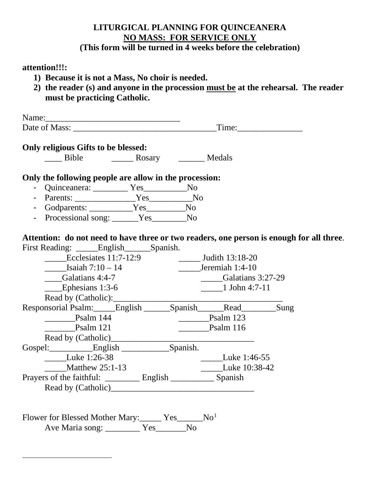### **LITURGICAL PLANNING FOR QUINCEANERA NO MASS: FOR SERVICE ONLY**

### **(This form will be turned in 4 weeks before the celebration)**

### **attention!!!:**

- **1) Because it is not a Mass, No choir is needed.**
- **2) the reader (s) and anyone in the procession must be at the rehearsal. The reader must be practicing Catholic.**

| Name:         |             |  |
|---------------|-------------|--|
| Date of Mass: | m.<br>'1ma∙ |  |

# **Only religious Gifts to be blessed:**<br>Bible Ros

example and Bosary and Medals

### **Only the following people are allow in the procession:**

- Quinceanera: \_\_\_\_\_\_\_\_ Yes\_\_\_\_\_\_\_\_\_\_No
- Parents: \_\_\_\_\_\_\_\_\_\_\_\_\_\_\_\_\_\_Yes\_\_\_\_\_\_\_\_\_\_\_\_No
- Godparents: \_\_\_\_\_\_\_\_\_\_Yes\_\_\_\_\_\_\_\_\_No
- Processional song: \_\_\_\_\_Yes\_\_\_\_\_\_No

### **Attention: do not need to have three or two readers, one person is enough for all three**.

| First Reading: ______ English____ |                     |         | Spanish.          |                |               |      |  |
|-----------------------------------|---------------------|---------|-------------------|----------------|---------------|------|--|
| Ecclesiates $11:7-12:9$           |                     |         | Judith 13:18-20   |                |               |      |  |
| Isaiah $7:10 - 14$                |                     |         | Jeremiah 1:4-10   |                |               |      |  |
| Galatians 4:4-7                   |                     |         | Galatians 3:27-29 |                |               |      |  |
| Ephesians 1:3-6                   |                     |         | 1 John 4:7-11     |                |               |      |  |
|                                   | Read by (Catholic): |         |                   |                |               |      |  |
| Responsorial Psalm: English       |                     |         |                   | Spanish        | Read          | Sung |  |
| Psalm 144                         |                     |         |                   |                | Psalm 123     |      |  |
| Psalm 121                         |                     |         |                   |                | Psalm 116     |      |  |
|                                   | Read by (Catholic)  |         |                   |                |               |      |  |
| Gospel: English                   |                     |         |                   | Spanish.       |               |      |  |
| Luke 1:26-38                      |                     |         |                   |                | Luke 1:46-55  |      |  |
| Matthew 25:1-13                   |                     |         |                   |                | Luke 10:38-42 |      |  |
|                                   |                     | English |                   | <b>Spanish</b> |               |      |  |
|                                   | Read by (Catholic)  |         |                   |                |               |      |  |

<span id="page-1-0"></span>Flower for Blessed Mother Mary: Yes\_\_\_\_\_No<sup>[1](#page-1-0)</sup> Ave Maria song: \_\_\_\_\_\_\_\_ Yes\_\_\_\_\_\_\_No